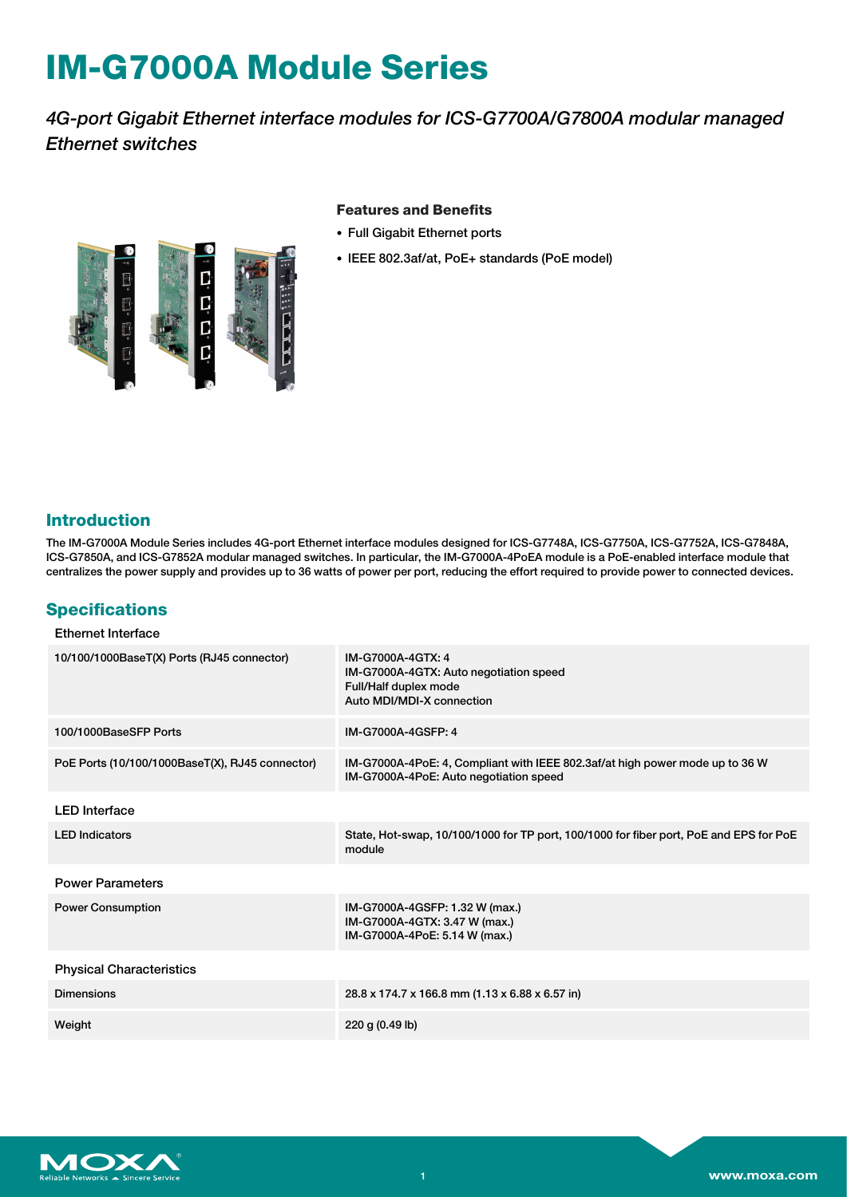# **IM-G7000A Module Series**

## *4G-port Gigabit Ethernet interface modules for ICS-G7700A/G7800A modular managed Ethernet switches*



#### **Features and Benefits**

- Full Gigabit Ethernet ports
- IEEE 802.3af/at, PoE+ standards (PoE model)

#### **Introduction**

The IM-G7000A Module Series includes 4G-port Ethernet interface modules designed for ICS-G7748A, ICS-G7750A, ICS-G7752A, ICS-G7848A, ICS-G7850A, and ICS-G7852A modular managed switches. In particular, the IM-G7000A-4PoEA module is a PoE-enabled interface module that centralizes the power supply and provides up to 36 watts of power per port, reducing the effort required to provide power to connected devices.

#### **Specifications**

Ethernet Interface

| 10/100/1000BaseT(X) Ports (RJ45 connector)      | IM-G7000A-4GTX: 4<br>IM-G7000A-4GTX: Auto negotiation speed<br>Full/Half duplex mode<br>Auto MDI/MDI-X connection      |
|-------------------------------------------------|------------------------------------------------------------------------------------------------------------------------|
| 100/1000BaseSFP Ports                           | IM-G7000A-4GSFP: 4                                                                                                     |
| PoE Ports (10/100/1000BaseT(X), RJ45 connector) | IM-G7000A-4PoE: 4, Compliant with IEEE 802.3af/at high power mode up to 36 W<br>IM-G7000A-4PoE: Auto negotiation speed |
| <b>LED</b> Interface                            |                                                                                                                        |
| <b>LED Indicators</b>                           | State, Hot-swap, 10/100/1000 for TP port, 100/1000 for fiber port, PoE and EPS for PoE<br>module                       |
| <b>Power Parameters</b>                         |                                                                                                                        |
| <b>Power Consumption</b>                        | IM-G7000A-4GSFP: 1.32 W (max.)<br>IM-G7000A-4GTX: 3.47 W (max.)<br>IM-G7000A-4PoE: 5.14 W (max.)                       |
| <b>Physical Characteristics</b>                 |                                                                                                                        |
| <b>Dimensions</b>                               | 28.8 x 174.7 x 166.8 mm (1.13 x 6.88 x 6.57 in)                                                                        |
| Weight                                          | 220 g (0.49 lb)                                                                                                        |

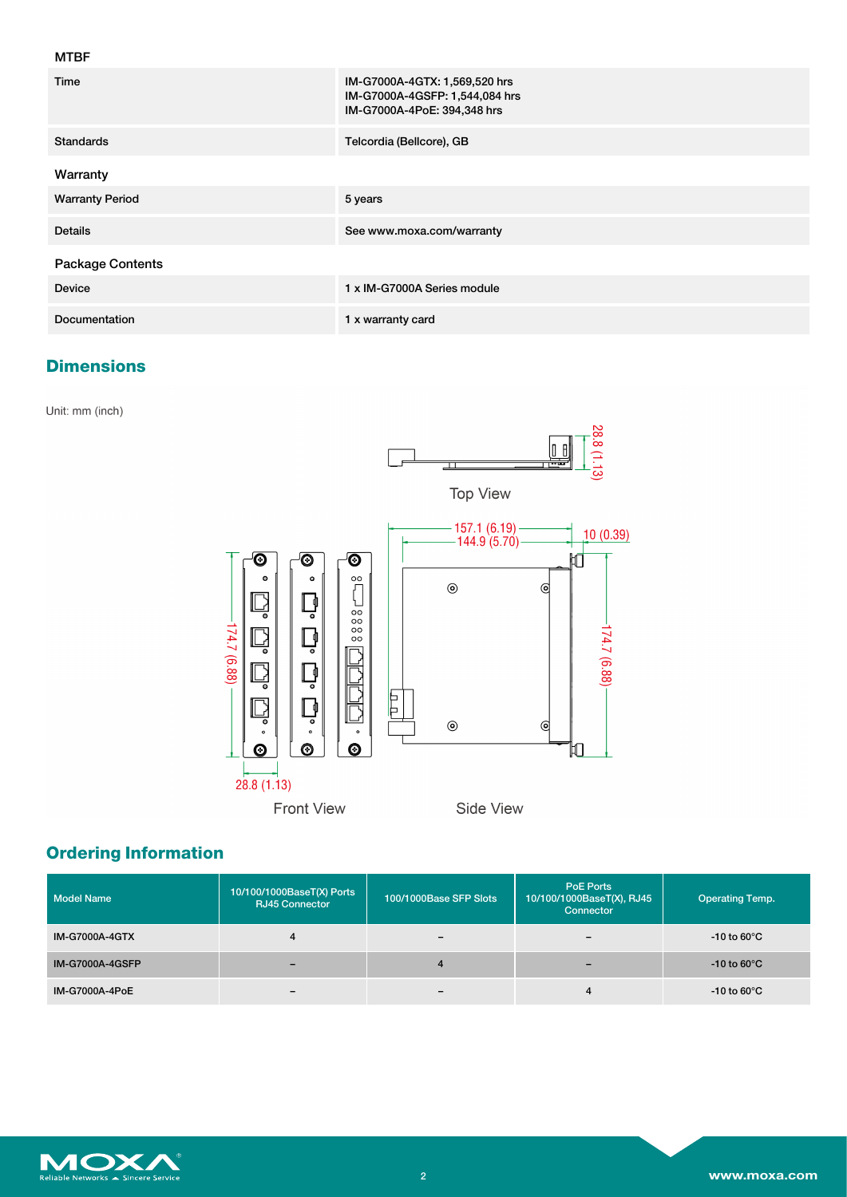#### MTBF

| Time                    | IM-G7000A-4GTX: 1,569,520 hrs<br>IM-G7000A-4GSFP: 1,544,084 hrs<br>IM-G7000A-4PoE: 394,348 hrs |
|-------------------------|------------------------------------------------------------------------------------------------|
| <b>Standards</b>        | Telcordia (Bellcore), GB                                                                       |
| Warranty                |                                                                                                |
| <b>Warranty Period</b>  | 5 years                                                                                        |
| <b>Details</b>          | See www.moxa.com/warranty                                                                      |
| <b>Package Contents</b> |                                                                                                |
| <b>Device</b>           | 1 x IM-G7000A Series module                                                                    |
| Documentation           | 1 x warranty card                                                                              |

## **Dimensions**

Unit: mm (inch)



### **Ordering Information**

| <b>Model Name</b>      | 10/100/1000BaseT(X) Ports<br><b>RJ45 Connector</b> | 100/1000Base SFP Slots   | <b>PoE Ports</b><br>10/100/1000BaseT(X), RJ45<br>Connector | <b>Operating Temp.</b>   |
|------------------------|----------------------------------------------------|--------------------------|------------------------------------------------------------|--------------------------|
| <b>IM-G7000A-4GTX</b>  | 4                                                  | $\overline{\phantom{0}}$ | -                                                          | -10 to 60 $^{\circ}$ C   |
| <b>IM-G7000A-4GSFP</b> |                                                    | 4                        |                                                            | $-10$ to 60 $\degree$ C  |
| IM-G7000A-4PoE         |                                                    | -                        |                                                            | $-10$ to 60 $^{\circ}$ C |

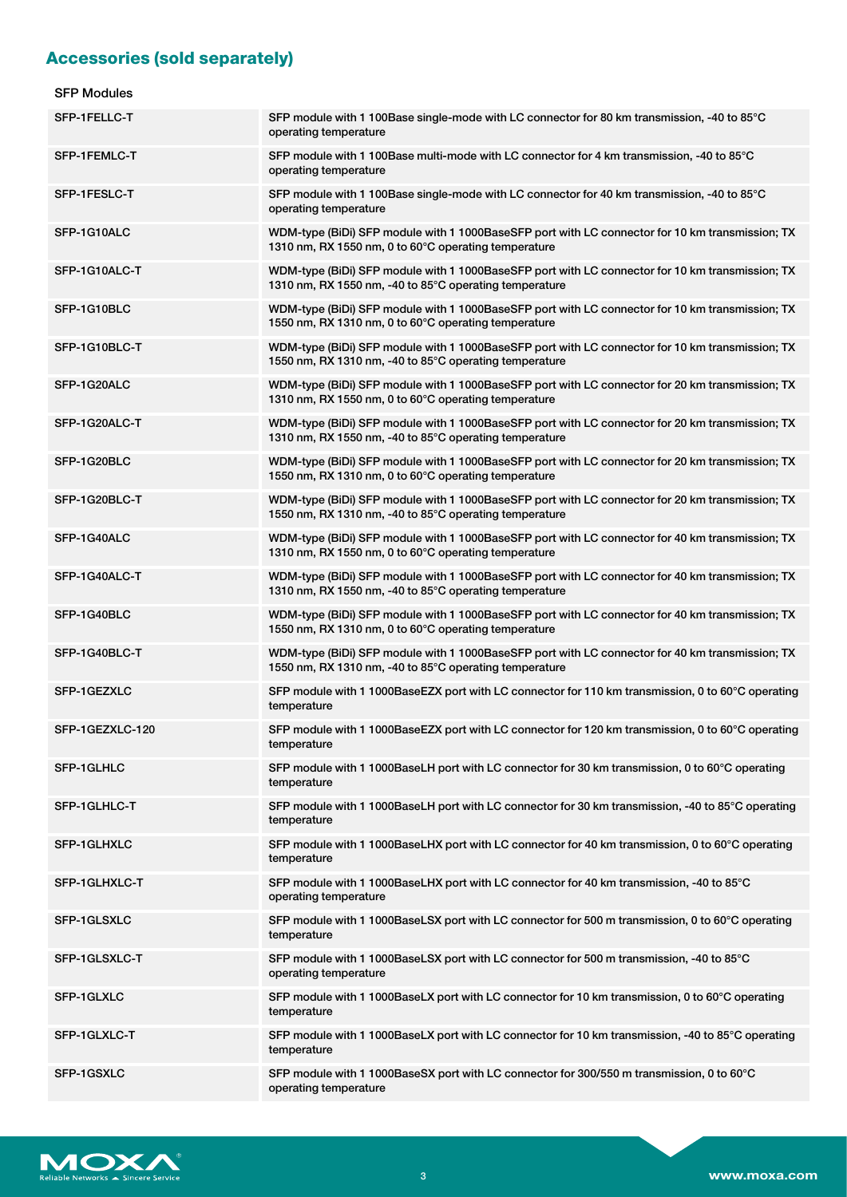## **Accessories (sold separately)**

| SFP-1FELLC-T    | SFP module with 1 100Base single-mode with LC connector for 80 km transmission, -40 to 85°C<br>operating temperature                                      |
|-----------------|-----------------------------------------------------------------------------------------------------------------------------------------------------------|
| SFP-1FEMLC-T    | SFP module with 1 100Base multi-mode with LC connector for 4 km transmission, -40 to 85°C<br>operating temperature                                        |
| SFP-1FESLC-T    | SFP module with 1 100Base single-mode with LC connector for 40 km transmission, -40 to 85°C<br>operating temperature                                      |
| SFP-1G10ALC     | WDM-type (BiDi) SFP module with 1 1000BaseSFP port with LC connector for 10 km transmission; TX<br>1310 nm, RX 1550 nm, 0 to 60°C operating temperature   |
| SFP-1G10ALC-T   | WDM-type (BiDi) SFP module with 1 1000BaseSFP port with LC connector for 10 km transmission; TX<br>1310 nm, RX 1550 nm, -40 to 85°C operating temperature |
| SFP-1G10BLC     | WDM-type (BiDi) SFP module with 1 1000BaseSFP port with LC connector for 10 km transmission; TX<br>1550 nm, RX 1310 nm, 0 to 60°C operating temperature   |
| SFP-1G10BLC-T   | WDM-type (BiDi) SFP module with 1 1000BaseSFP port with LC connector for 10 km transmission; TX<br>1550 nm, RX 1310 nm, -40 to 85°C operating temperature |
| SFP-1G20ALC     | WDM-type (BiDi) SFP module with 1 1000BaseSFP port with LC connector for 20 km transmission; TX<br>1310 nm, RX 1550 nm, 0 to 60°C operating temperature   |
| SFP-1G20ALC-T   | WDM-type (BiDi) SFP module with 1 1000BaseSFP port with LC connector for 20 km transmission; TX<br>1310 nm, RX 1550 nm, -40 to 85°C operating temperature |
| SFP-1G20BLC     | WDM-type (BiDi) SFP module with 1 1000BaseSFP port with LC connector for 20 km transmission; TX<br>1550 nm, RX 1310 nm, 0 to 60°C operating temperature   |
| SFP-1G20BLC-T   | WDM-type (BiDi) SFP module with 1 1000BaseSFP port with LC connector for 20 km transmission; TX<br>1550 nm, RX 1310 nm, -40 to 85°C operating temperature |
| SFP-1G40ALC     | WDM-type (BiDi) SFP module with 1 1000BaseSFP port with LC connector for 40 km transmission; TX<br>1310 nm, RX 1550 nm, 0 to 60°C operating temperature   |
| SFP-1G40ALC-T   | WDM-type (BiDi) SFP module with 1 1000BaseSFP port with LC connector for 40 km transmission; TX<br>1310 nm, RX 1550 nm, -40 to 85°C operating temperature |
| SFP-1G40BLC     | WDM-type (BiDi) SFP module with 1 1000BaseSFP port with LC connector for 40 km transmission; TX<br>1550 nm, RX 1310 nm, 0 to 60°C operating temperature   |
| SFP-1G40BLC-T   | WDM-type (BiDi) SFP module with 1 1000BaseSFP port with LC connector for 40 km transmission; TX<br>1550 nm, RX 1310 nm, -40 to 85°C operating temperature |
| SFP-1GEZXLC     | SFP module with 1 1000BaseEZX port with LC connector for 110 km transmission, 0 to 60 $\degree$ C operating<br>temperature                                |
| SFP-1GEZXLC-120 | SFP module with 1 1000BaseEZX port with LC connector for 120 km transmission, 0 to 60°C operating<br>temperature                                          |
| SFP-1GLHLC      | SFP module with 1 1000BaseLH port with LC connector for 30 km transmission, 0 to 60 $\degree$ C operating<br>temperature                                  |
| SFP-1GLHLC-T    | SFP module with 1 1000BaseLH port with LC connector for 30 km transmission, -40 to 85°C operating<br>temperature                                          |
| SFP-1GLHXLC     | SFP module with 1 1000BaseLHX port with LC connector for 40 km transmission, 0 to 60°C operating<br>temperature                                           |
| SFP-1GLHXLC-T   | SFP module with 1 1000BaseLHX port with LC connector for 40 km transmission, -40 to 85°C<br>operating temperature                                         |
| SFP-1GLSXLC     | SFP module with 1 1000BaseLSX port with LC connector for 500 m transmission, 0 to 60°C operating<br>temperature                                           |
| SFP-1GLSXLC-T   | SFP module with 1 1000BaseLSX port with LC connector for 500 m transmission, -40 to 85°C<br>operating temperature                                         |
| SFP-1GLXLC      | SFP module with 1 1000BaseLX port with LC connector for 10 km transmission, 0 to 60°C operating<br>temperature                                            |
| SFP-1GLXLC-T    | SFP module with 1 1000BaseLX port with LC connector for 10 km transmission, -40 to 85°C operating<br>temperature                                          |
| SFP-1GSXLC      | SFP module with 1 1000BaseSX port with LC connector for 300/550 m transmission, 0 to 60°C<br>operating temperature                                        |